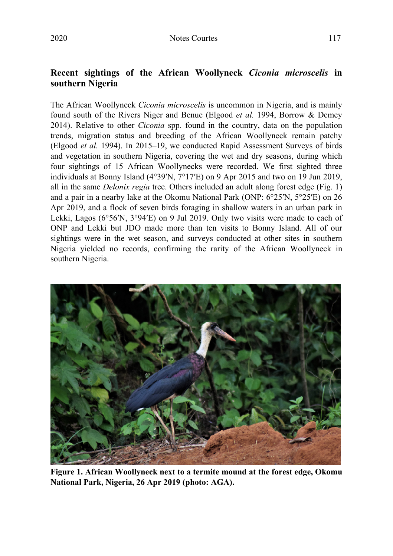## **Recent sightings of the African Woollyneck** *Ciconia microscelis* **in southern Nigeria**

The African Woollyneck *Ciconia microscelis* is uncommon in Nigeria, and is mainly found south of the Rivers Niger and Benue (Elgood *et al.* 1994, Borrow & Demey 2014). Relative to other *Ciconia* spp*.* found in the country, data on the population trends, migration status and breeding of the African Woollyneck remain patchy (Elgood *et al.* 1994). In 2015–19, we conducted Rapid Assessment Surveys of birds and vegetation in southern Nigeria, covering the wet and dry seasons, during which four sightings of 15 African Woollynecks were recorded. We first sighted three individuals at Bonny Island (4°39ʹN, 7°17ʹE) on 9 Apr 2015 and two on 19 Jun 2019, all in the same *Delonix regia* tree. Others included an adult along forest edge (Fig. 1) and a pair in a nearby lake at the Okomu National Park (ONP: 6°25ʹN, 5°25ʹE) on 26 Apr 2019, and a flock of seven birds foraging in shallow waters in an urban park in Lekki, Lagos ( $6^{\circ}56$ <sup>N</sup>,  $3^{\circ}94$ <sup>E</sup>) on 9 Jul 2019. Only two visits were made to each of ONP and Lekki but JDO made more than ten visits to Bonny Island. All of our sightings were in the wet season, and surveys conducted at other sites in southern Nigeria yielded no records, confirming the rarity of the African Woollyneck in southern Nigeria.



**Figure 1. African Woollyneck next to a termite mound at the forest edge, Okomu National Park, Nigeria, 26 Apr 2019 (photo: AGA).**